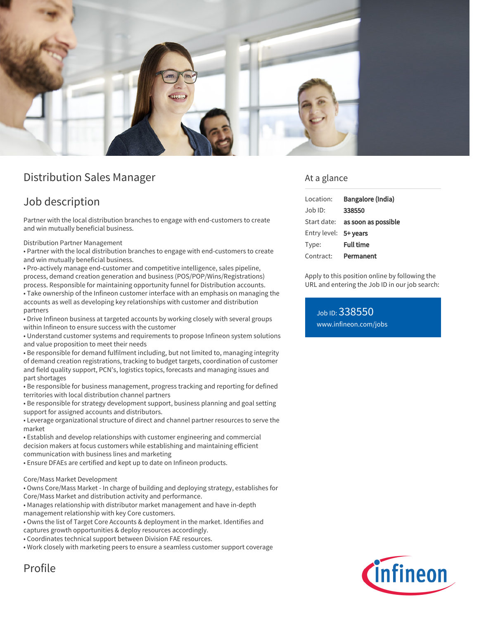

# Distribution Sales Manager

### Job description

Partner with the local distribution branches to engage with end-customers to create and win mutually beneficial business.

Distribution Partner Management

• Partner with the local distribution branches to engage with end-customers to create and win mutually beneficial business.

• Pro-actively manage end-customer and competitive intelligence, sales pipeline, process, demand creation generation and business (POS/POP/Wins/Registrations) process. Responsible for maintaining opportunity funnel for Distribution accounts. • Take ownership of the Infineon customer interface with an emphasis on managing the accounts as well as developing key relationships with customer and distribution partners

• Drive Infineon business at targeted accounts by working closely with several groups within Infineon to ensure success with the customer

• Understand customer systems and requirements to propose Infineon system solutions and value proposition to meet their needs

• Be responsible for demand fulfilment including, but not limited to, managing integrity of demand creation registrations, tracking to budget targets, coordination of customer and field quality support, PCN's, logistics topics, forecasts and managing issues and part shortages

• Be responsible for business management, progress tracking and reporting for defined territories with local distribution channel partners

• Be responsible for strategy development support, business planning and goal setting support for assigned accounts and distributors.

• Leverage organizational structure of direct and channel partner resources to serve the market

• Establish and develop relationships with customer engineering and commercial decision makers at focus customers while establishing and maintaining efficient communication with business lines and marketing

• Ensure DFAEs are certified and kept up to date on Infineon products.

#### Core/Mass Market Development

• Owns Core/Mass Market - In charge of building and deploying strategy, establishes for Core/Mass Market and distribution activity and performance.

• Manages relationship with distributor market management and have in-depth management relationship with key Core customers.

• Owns the list of Target Core Accounts & deployment in the market. Identifies and

captures growth opportunities & deploy resources accordingly.

• Coordinates technical support between Division FAE resources.

• Work closely with marketing peers to ensure a seamless customer support coverage

#### At a glance

| Location:             | Bangalore (India)                      |
|-----------------------|----------------------------------------|
| Job ID:               | 338550                                 |
|                       | Start date: <b>as soon as possible</b> |
| Entry level: 5+ years |                                        |
| Type:                 | <b>Full time</b>                       |
| Contract:             | Permanent                              |

Apply to this position online by following the URL and entering the Job ID in our job search:

Job ID: 338550 [www.infineon.com/jobs](https://www.infineon.com/jobs)



# Profile